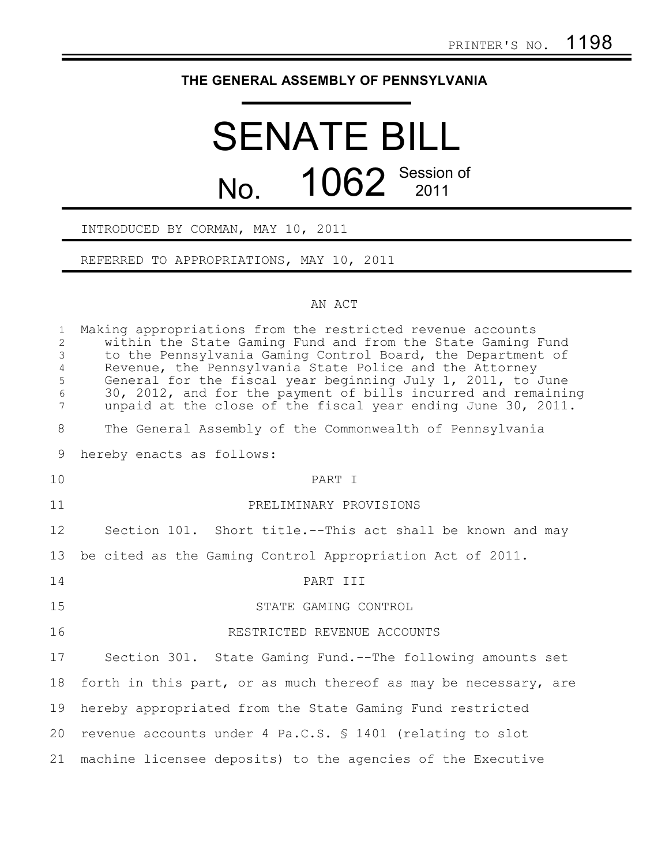## **THE GENERAL ASSEMBLY OF PENNSYLVANIA**

## SENATE BILL No. 1062 Session of

## INTRODUCED BY CORMAN, MAY 10, 2011

REFERRED TO APPROPRIATIONS, MAY 10, 2011

## AN ACT

| $\mathbf{1}$<br>$\overline{c}$<br>$\mathfrak{Z}$<br>$\overline{4}$<br>5<br>$\sqrt{6}$<br>$\overline{7}$ | Making appropriations from the restricted revenue accounts<br>within the State Gaming Fund and from the State Gaming Fund<br>to the Pennsylvania Gaming Control Board, the Department of<br>Revenue, the Pennsylvania State Police and the Attorney<br>General for the fiscal year beginning July 1, 2011, to June<br>30, 2012, and for the payment of bills incurred and remaining<br>unpaid at the close of the fiscal year ending June 30, 2011. |
|---------------------------------------------------------------------------------------------------------|-----------------------------------------------------------------------------------------------------------------------------------------------------------------------------------------------------------------------------------------------------------------------------------------------------------------------------------------------------------------------------------------------------------------------------------------------------|
| $8\,$                                                                                                   | The General Assembly of the Commonwealth of Pennsylvania                                                                                                                                                                                                                                                                                                                                                                                            |
| 9                                                                                                       | hereby enacts as follows:                                                                                                                                                                                                                                                                                                                                                                                                                           |
| 10                                                                                                      | PART T                                                                                                                                                                                                                                                                                                                                                                                                                                              |
| 11                                                                                                      | PRELIMINARY PROVISIONS                                                                                                                                                                                                                                                                                                                                                                                                                              |
| 12                                                                                                      | Section 101. Short title.--This act shall be known and may                                                                                                                                                                                                                                                                                                                                                                                          |
| 13                                                                                                      | be cited as the Gaming Control Appropriation Act of 2011.                                                                                                                                                                                                                                                                                                                                                                                           |
| 14                                                                                                      | PART III                                                                                                                                                                                                                                                                                                                                                                                                                                            |
| 15                                                                                                      | STATE GAMING CONTROL                                                                                                                                                                                                                                                                                                                                                                                                                                |
| 16                                                                                                      | RESTRICTED REVENUE ACCOUNTS                                                                                                                                                                                                                                                                                                                                                                                                                         |
| 17                                                                                                      | Section 301. State Gaming Fund.--The following amounts set                                                                                                                                                                                                                                                                                                                                                                                          |
| 18                                                                                                      | forth in this part, or as much thereof as may be necessary, are                                                                                                                                                                                                                                                                                                                                                                                     |
| 19                                                                                                      | hereby appropriated from the State Gaming Fund restricted                                                                                                                                                                                                                                                                                                                                                                                           |
| 20                                                                                                      | revenue accounts under 4 Pa.C.S. \$ 1401 (relating to slot                                                                                                                                                                                                                                                                                                                                                                                          |
| 21                                                                                                      | machine licensee deposits) to the agencies of the Executive                                                                                                                                                                                                                                                                                                                                                                                         |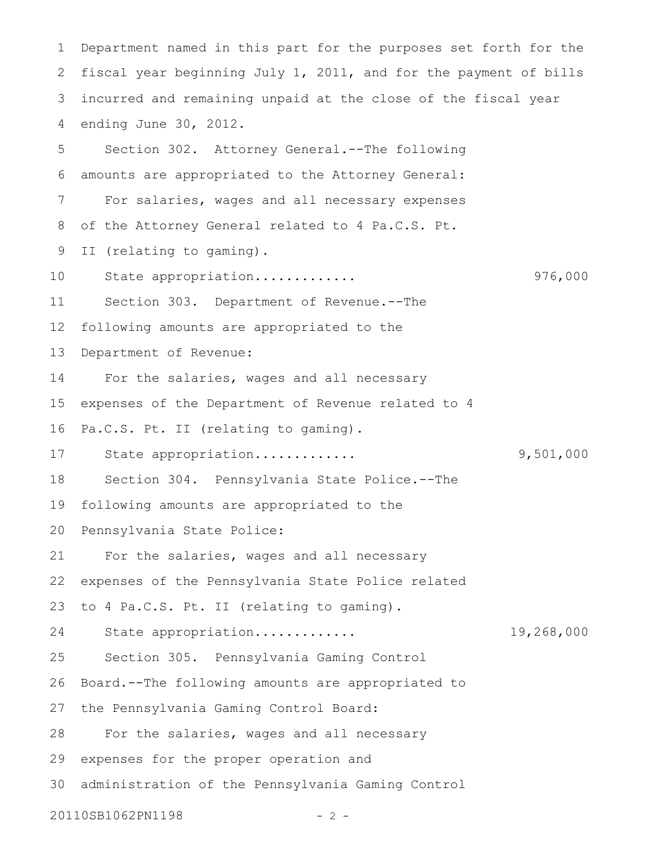Department named in this part for the purposes set forth for the fiscal year beginning July 1, 2011, and for the payment of bills incurred and remaining unpaid at the close of the fiscal year ending June 30, 2012. Section 302. Attorney General.--The following amounts are appropriated to the Attorney General: For salaries, wages and all necessary expenses of the Attorney General related to 4 Pa.C.S. Pt. II (relating to gaming). State appropriation............. 976,000 Section 303. Department of Revenue.--The following amounts are appropriated to the Department of Revenue: For the salaries, wages and all necessary expenses of the Department of Revenue related to 4 Pa.C.S. Pt. II (relating to gaming). State appropriation............. 9,501,000 Section 304. Pennsylvania State Police.--The following amounts are appropriated to the Pennsylvania State Police: For the salaries, wages and all necessary expenses of the Pennsylvania State Police related to 4 Pa.C.S. Pt. II (relating to gaming). State appropriation............. 19,268,000 Section 305. Pennsylvania Gaming Control Board.--The following amounts are appropriated to the Pennsylvania Gaming Control Board: For the salaries, wages and all necessary expenses for the proper operation and administration of the Pennsylvania Gaming Control 20110SB1062PN1198 - 2 -1 2 3 4 5 6 7 8 9 10 11 12 13 14 15 16 17 18 19 20 21 22 23 24 25 26 27 28 29 30